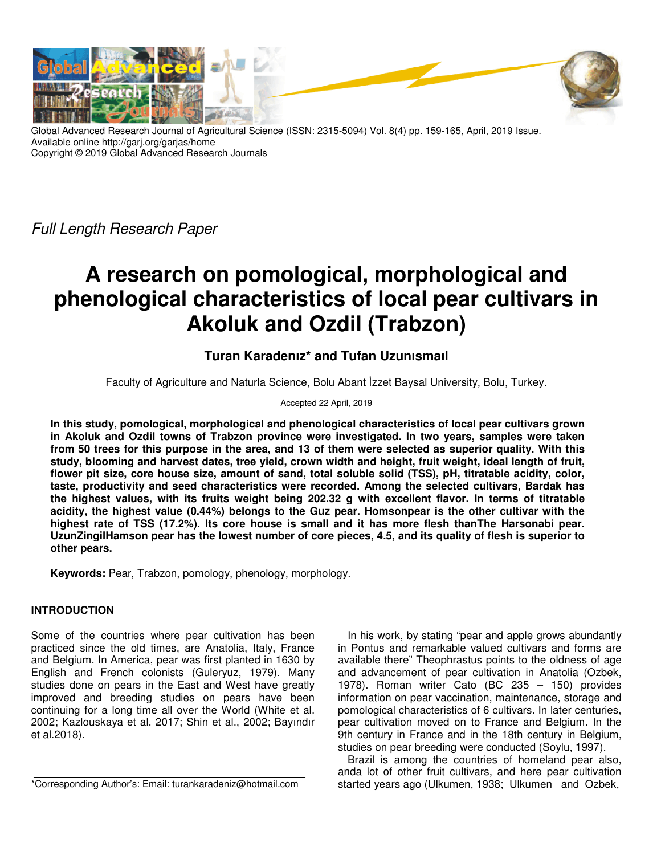

Global Advanced Research Journal of Agricultural Science (ISSN: 2315-5094) Vol. 8(4) pp. 159-165, April, 2019 Issue. Available online http://garj.org/garjas/home Copyright © 2019 Global Advanced Research Journals

Full Length Research Paper

# **A research on pomological, morphological and phenological characteristics of local pear cultivars in Akoluk and Ozdil (Trabzon)**

## **Turan Karadenız\* and Tufan Uzunısmaıl**

Faculty of Agriculture and Naturla Science, Bolu Abant İzzet Baysal University, Bolu, Turkey.

## Accepted 22 April, 2019

**In this study, pomological, morphological and phenological characteristics of local pear cultivars grown in Akoluk and Ozdil towns of Trabzon province were investigated. In two years, samples were taken from 50 trees for this purpose in the area, and 13 of them were selected as superior quality. With this study, blooming and harvest dates, tree yield, crown width and height, fruit weight, ideal length of fruit, flower pit size, core house size, amount of sand, total soluble solid (TSS), pH, titratable acidity, color, taste, productivity and seed characteristics were recorded. Among the selected cultivars, Bardak has the highest values, with its fruits weight being 202.32 g with excellent flavor. In terms of titratable acidity, the highest value (0.44%) belongs to the Guz pear. Homsonpear is the other cultivar with the highest rate of TSS (17.2%). Its core house is small and it has more flesh thanThe Harsonabi pear. UzunZingilHamson pear has the lowest number of core pieces, 4.5, and its quality of flesh is superior to other pears.** 

**Keywords:** Pear, Trabzon, pomology, phenology, morphology.

## **INTRODUCTION**

Some of the countries where pear cultivation has been practiced since the old times, are Anatolia, Italy, France and Belgium. In America, pear was first planted in 1630 by English and French colonists (Guleryuz, 1979). Many studies done on pears in the East and West have greatly improved and breeding studies on pears have been continuing for a long time all over the World (White et al. 2002; Kazlouskaya et al. 2017; Shin et al., 2002; Bayındır et al.2018).

\*Corresponding Author's: Email: turankaradeniz@hotmail.com

In his work, by stating "pear and apple grows abundantly in Pontus and remarkable valued cultivars and forms are available there" Theophrastus points to the oldness of age and advancement of pear cultivation in Anatolia (Ozbek, 1978). Roman writer Cato (BC 235 – 150) provides information on pear vaccination, maintenance, storage and pomological characteristics of 6 cultivars. In later centuries, pear cultivation moved on to France and Belgium. In the 9th century in France and in the 18th century in Belgium, studies on pear breeding were conducted (Soylu, 1997).

Brazil is among the countries of homeland pear also, anda lot of other fruit cultivars, and here pear cultivation started years ago (Ulkumen, 1938; Ulkumen and Ozbek,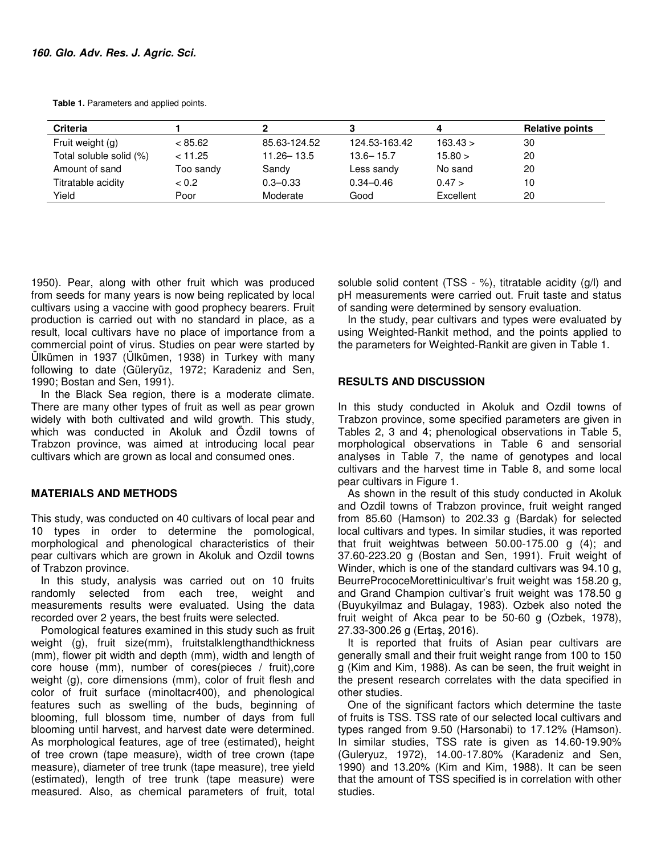**Table 1.** Parameters and applied points.

| <b>Criteria</b>         |           |                |               |           | <b>Relative points</b> |
|-------------------------|-----------|----------------|---------------|-----------|------------------------|
| Fruit weight (g)        | < 85.62   | 85.63-124.52   | 124.53-163.42 | 163.43 >  | 30                     |
| Total soluble solid (%) | < 11.25   | $11.26 - 13.5$ | $13.6 - 15.7$ | 15.80 >   | 20                     |
| Amount of sand          | Too sandy | Sandy          | Less sandy    | No sand   | 20                     |
| Titratable acidity      | < 0.2     | $0.3 - 0.33$   | $0.34 - 0.46$ | 0.47 >    | 10                     |
| Yield                   | Poor      | Moderate       | Good          | Excellent | 20                     |

1950). Pear, along with other fruit which was produced from seeds for many years is now being replicated by local cultivars using a vaccine with good prophecy bearers. Fruit production is carried out with no standard in place, as a result, local cultivars have no place of importance from a commercial point of virus. Studies on pear were started by Ülkümen in 1937 (Ülkümen, 1938) in Turkey with many following to date (Güleryüz, 1972; Karadeniz and Sen, 1990; Bostan and Sen, 1991).

In the Black Sea region, there is a moderate climate. There are many other types of fruit as well as pear grown widely with both cultivated and wild growth. This study, which was conducted in Akoluk and Özdil towns of Trabzon province, was aimed at introducing local pear cultivars which are grown as local and consumed ones.

#### **MATERIALS AND METHODS**

This study, was conducted on 40 cultivars of local pear and 10 types in order to determine the pomological, morphological and phenological characteristics of their pear cultivars which are grown in Akoluk and Ozdil towns of Trabzon province.

In this study, analysis was carried out on 10 fruits randomly selected from each tree, weight and measurements results were evaluated. Using the data recorded over 2 years, the best fruits were selected.

Pomological features examined in this study such as fruit weight (g), fruit size(mm), fruitstalklengthandthickness (mm), flower pit width and depth (mm), width and length of core house (mm), number of cores(pieces / fruit),core weight (g), core dimensions (mm), color of fruit flesh and color of fruit surface (minoltacr400), and phenological features such as swelling of the buds, beginning of blooming, full blossom time, number of days from full blooming until harvest, and harvest date were determined. As morphological features, age of tree (estimated), height of tree crown (tape measure), width of tree crown (tape measure), diameter of tree trunk (tape measure), tree yield (estimated), length of tree trunk (tape measure) were measured. Also, as chemical parameters of fruit, total

soluble solid content (TSS - %), titratable acidity (g/l) and pH measurements were carried out. Fruit taste and status of sanding were determined by sensory evaluation.

In the study, pear cultivars and types were evaluated by using Weighted-Rankit method, and the points applied to the parameters for Weighted-Rankit are given in Table 1.

### **RESULTS AND DISCUSSION**

In this study conducted in Akoluk and Ozdil towns of Trabzon province, some specified parameters are given in Tables 2, 3 and 4; phenological observations in Table 5, morphological observations in Table 6 and sensorial analyses in Table 7, the name of genotypes and local cultivars and the harvest time in Table 8, and some local pear cultivars in Figure 1.

As shown in the result of this study conducted in Akoluk and Ozdil towns of Trabzon province, fruit weight ranged from 85.60 (Hamson) to 202.33 g (Bardak) for selected local cultivars and types. In similar studies, it was reported that fruit weightwas between 50.00-175.00 g (4); and 37.60-223.20 g (Bostan and Sen, 1991). Fruit weight of Winder, which is one of the standard cultivars was 94.10 g, BeurrePrococeMorettinicultivar's fruit weight was 158.20 g, and Grand Champion cultivar's fruit weight was 178.50 g (Buyukyilmaz and Bulagay, 1983). Ozbek also noted the fruit weight of Akca pear to be 50-60 g (Ozbek, 1978), 27.33-300.26 g (Ertaş, 2016).

It is reported that fruits of Asian pear cultivars are generally small and their fruit weight range from 100 to 150 g (Kim and Kim, 1988). As can be seen, the fruit weight in the present research correlates with the data specified in other studies.

One of the significant factors which determine the taste of fruits is TSS. TSS rate of our selected local cultivars and types ranged from 9.50 (Harsonabi) to 17.12% (Hamson). In similar studies, TSS rate is given as 14.60-19.90% (Guleryuz, 1972), 14.00-17.80% (Karadeniz and Sen, 1990) and 13.20% (Kim and Kim, 1988). It can be seen that the amount of TSS specified is in correlation with other studies.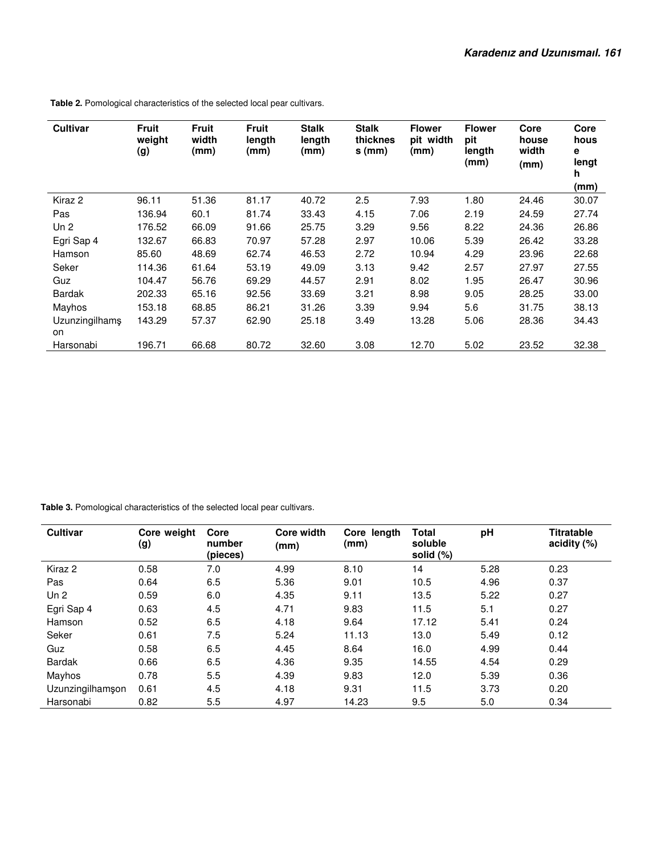| <b>Cultivar</b>       | <b>Fruit</b><br>weight<br>(g) | <b>Fruit</b><br>width<br>(mm) | Fruit<br>length<br>(mm) | <b>Stalk</b><br>length<br>(mm) | <b>Stalk</b><br>thicknes<br>$s$ (mm) | <b>Flower</b><br>pit width<br>(mm) | <b>Flower</b><br>pit<br>length<br>(mm) | Core<br>house<br>width<br>(mm) | Core<br>hous<br>е<br>lengt<br>h<br>(mm) |
|-----------------------|-------------------------------|-------------------------------|-------------------------|--------------------------------|--------------------------------------|------------------------------------|----------------------------------------|--------------------------------|-----------------------------------------|
| Kiraz 2               | 96.11                         | 51.36                         | 81.17                   | 40.72                          | 2.5                                  | 7.93                               | 1.80                                   | 24.46                          | 30.07                                   |
| Pas                   | 136.94                        | 60.1                          | 81.74                   | 33.43                          | 4.15                                 | 7.06                               | 2.19                                   | 24.59                          | 27.74                                   |
| Un 2                  | 176.52                        | 66.09                         | 91.66                   | 25.75                          | 3.29                                 | 9.56                               | 8.22                                   | 24.36                          | 26.86                                   |
| Egri Sap 4            | 132.67                        | 66.83                         | 70.97                   | 57.28                          | 2.97                                 | 10.06                              | 5.39                                   | 26.42                          | 33.28                                   |
| Hamson                | 85.60                         | 48.69                         | 62.74                   | 46.53                          | 2.72                                 | 10.94                              | 4.29                                   | 23.96                          | 22.68                                   |
| Seker                 | 114.36                        | 61.64                         | 53.19                   | 49.09                          | 3.13                                 | 9.42                               | 2.57                                   | 27.97                          | 27.55                                   |
| Guz                   | 104.47                        | 56.76                         | 69.29                   | 44.57                          | 2.91                                 | 8.02                               | 1.95                                   | 26.47                          | 30.96                                   |
| <b>Bardak</b>         | 202.33                        | 65.16                         | 92.56                   | 33.69                          | 3.21                                 | 8.98                               | 9.05                                   | 28.25                          | 33.00                                   |
| Mayhos                | 153.18                        | 68.85                         | 86.21                   | 31.26                          | 3.39                                 | 9.94                               | 5.6                                    | 31.75                          | 38.13                                   |
| Uzunzingilhamş<br>on. | 143.29                        | 57.37                         | 62.90                   | 25.18                          | 3.49                                 | 13.28                              | 5.06                                   | 28.36                          | 34.43                                   |
| Harsonabi             | 196.71                        | 66.68                         | 80.72                   | 32.60                          | 3.08                                 | 12.70                              | 5.02                                   | 23.52                          | 32.38                                   |

 **Table 2.** Pomological characteristics of the selected local pear cultivars.

 **Table 3.** Pomological characteristics of the selected local pear cultivars.

| <b>Cultivar</b>  | Core weight<br>(g) | Core<br>number<br>(pieces) | <b>Core width</b><br>(mm) | Core length<br>(mm) | <b>Total</b><br>soluble<br>solid (%) | pH   | <b>Titratable</b><br>acidity (%) |
|------------------|--------------------|----------------------------|---------------------------|---------------------|--------------------------------------|------|----------------------------------|
| Kiraz 2          | 0.58               | 7.0                        | 4.99                      | 8.10                | 14                                   | 5.28 | 0.23                             |
| Pas              | 0.64               | 6.5                        | 5.36                      | 9.01                | 10.5                                 | 4.96 | 0.37                             |
| Un <sub>2</sub>  | 0.59               | 6.0                        | 4.35                      | 9.11                | 13.5                                 | 5.22 | 0.27                             |
| Egri Sap 4       | 0.63               | 4.5                        | 4.71                      | 9.83                | 11.5                                 | 5.1  | 0.27                             |
| Hamson           | 0.52               | 6.5                        | 4.18                      | 9.64                | 17.12                                | 5.41 | 0.24                             |
| Seker            | 0.61               | 7.5                        | 5.24                      | 11.13               | 13.0                                 | 5.49 | 0.12                             |
| Guz              | 0.58               | 6.5                        | 4.45                      | 8.64                | 16.0                                 | 4.99 | 0.44                             |
| Bardak           | 0.66               | 6.5                        | 4.36                      | 9.35                | 14.55                                | 4.54 | 0.29                             |
| Mayhos           | 0.78               | 5.5                        | 4.39                      | 9.83                | 12.0                                 | 5.39 | 0.36                             |
| Uzunzingilhamşon | 0.61               | 4.5                        | 4.18                      | 9.31                | 11.5                                 | 3.73 | 0.20                             |
| Harsonabi        | 0.82               | 5.5                        | 4.97                      | 14.23               | 9.5                                  | 5.0  | 0.34                             |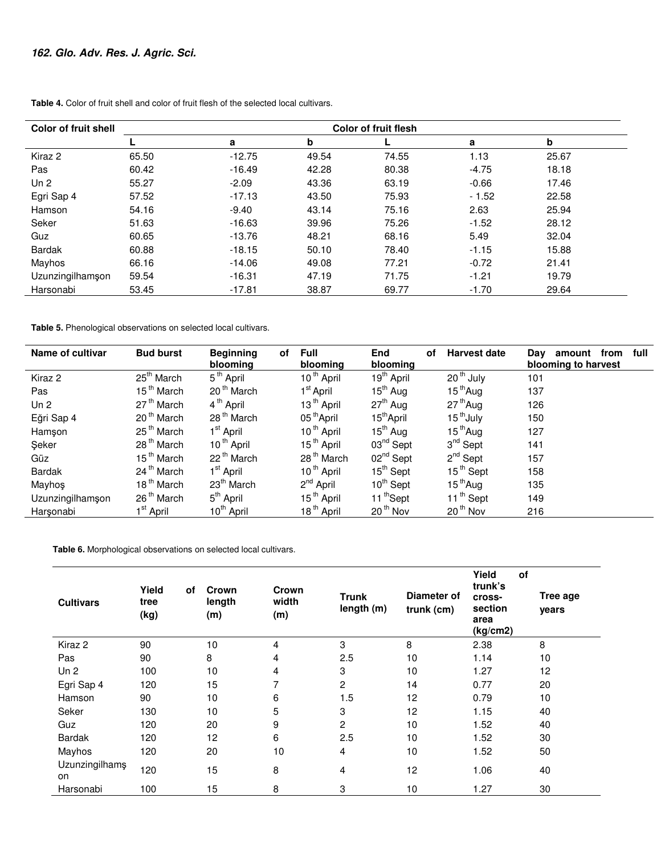| <b>Color of fruit shell</b> | <b>Color of fruit flesh</b> |          |       |       |         |       |  |  |
|-----------------------------|-----------------------------|----------|-------|-------|---------|-------|--|--|
|                             |                             | a        | b     |       | a       | b     |  |  |
| Kiraz 2                     | 65.50                       | $-12.75$ | 49.54 | 74.55 | 1.13    | 25.67 |  |  |
| Pas                         | 60.42                       | $-16.49$ | 42.28 | 80.38 | $-4.75$ | 18.18 |  |  |
| Un <sub>2</sub>             | 55.27                       | $-2.09$  | 43.36 | 63.19 | $-0.66$ | 17.46 |  |  |
| Egri Sap 4                  | 57.52                       | $-17.13$ | 43.50 | 75.93 | $-1.52$ | 22.58 |  |  |
| Hamson                      | 54.16                       | $-9.40$  | 43.14 | 75.16 | 2.63    | 25.94 |  |  |
| Seker                       | 51.63                       | $-16.63$ | 39.96 | 75.26 | $-1.52$ | 28.12 |  |  |
| Guz                         | 60.65                       | $-13.76$ | 48.21 | 68.16 | 5.49    | 32.04 |  |  |
| <b>Bardak</b>               | 60.88                       | $-18.15$ | 50.10 | 78.40 | $-1.15$ | 15.88 |  |  |
| Mayhos                      | 66.16                       | $-14.06$ | 49.08 | 77.21 | $-0.72$ | 21.41 |  |  |
| Uzunzingilhamşon            | 59.54                       | $-16.31$ | 47.19 | 71.75 | $-1.21$ | 19.79 |  |  |
| Harsonabi                   | 53.45                       | $-17.81$ | 38.87 | 69.77 | $-1.70$ | 29.64 |  |  |

**Table 4.** Color of fruit shell and color of fruit flesh of the selected local cultivars.

**Table 5.** Phenological observations on selected local cultivars.

| Name of cultivar | <b>Bud burst</b>       | <b>Beginning</b><br>of<br>blooming | <b>Full</b><br>blooming | End<br>οf<br>blooming  | <b>Harvest date</b>   | amount from<br>full<br>Day<br>blooming to harvest |
|------------------|------------------------|------------------------------------|-------------------------|------------------------|-----------------------|---------------------------------------------------|
| Kiraz 2          | 25 <sup>th</sup> March | 5 <sup>th</sup> April              | 10 <sup>th</sup> April  | 19 <sup>th</sup> April | 20 <sup>th</sup> July | 101                                               |
| Pas              | 15 <sup>th</sup> March | 20 <sup>th</sup> March             | 1 <sup>st</sup> April   | $15th$ Aug             | $15th$ Aug            | 137                                               |
| Un <sub>2</sub>  | 27 <sup>th</sup> March | 4 <sup>th</sup> April              | 13 <sup>th</sup> April  | $27th$ Aug             | $27th$ Aug            | 126                                               |
| Eğri Sap 4       | 20 <sup>th</sup> March | 28 <sup>th</sup> March             | 05 <sup>th</sup> April  | 15 <sup>th</sup> April | 15 <sup>th</sup> July | 150                                               |
| Hamşon           | 25 <sup>th</sup> March | 1 <sup>st</sup> April              | 10 <sup>th</sup> April  | $15^{\text{th}}$ Aug   | $15th$ Aug            | 127                                               |
| Şeker            | 28 <sup>th</sup> March | 10 <sup>th</sup> April             | 15 <sup>th</sup> April  | $03nd$ Sept            | $3nd$ Sept            | 141                                               |
| Güz              | 15 <sup>th</sup> March | 22 <sup>th</sup> March             | 28 <sup>th</sup> March  | $02nd$ Sept            | $2^{nd}$ Sept         | 157                                               |
| Bardak           | 24 <sup>th</sup> March | 1 <sup>st</sup> April              | 10 <sup>th</sup> April  | $15^{th}$ Sept         | 15 <sup>th</sup> Sept | 158                                               |
| Mayhos           | 18 <sup>th</sup> March | $23th$ March                       | 2 <sup>nd</sup> April   | $10^{th}$ Sept         | $15th$ Aug            | 135                                               |
| Uzunzingilhamşon | 26 <sup>th</sup> March | 5 <sup>th</sup> April              | 15 <sup>th</sup> April  | 11 <sup>th</sup> Sept  | 11 <sup>th</sup> Sept | 149                                               |
| Harsonabi        | 1 <sup>st</sup> April  | 10 <sup>th</sup> April             | 18 <sup>th</sup> April  | 20 <sup>th</sup> Nov   | 20 <sup>th</sup> Nov  | 216                                               |

 **Table 6.** Morphological observations on selected local cultivars.

| <b>Cultivars</b>     | Yield<br>tree<br>(kg) | of | Crown<br>length<br>(m) | Crown<br>width<br>(m) | <b>Trunk</b><br>length (m) | Diameter of<br>trunk (cm) | Yield<br>of<br>trunk's<br>cross-<br>section<br>area<br>(kg/cm2) | Tree age<br>years |
|----------------------|-----------------------|----|------------------------|-----------------------|----------------------------|---------------------------|-----------------------------------------------------------------|-------------------|
| Kiraz 2              | 90                    |    | 10                     | 4                     | 3                          | 8                         | 2.38                                                            | 8                 |
| Pas                  | 90                    |    | 8                      | 4                     | 2.5                        | 10                        | 1.14                                                            | 10                |
| Un <sub>2</sub>      | 100                   |    | 10                     | 4                     | 3                          | 10                        | 1.27                                                            | 12                |
| Egri Sap 4           | 120                   |    | 15                     | 7                     | $\overline{2}$             | 14                        | 0.77                                                            | 20                |
| Hamson               | 90                    |    | 10                     | 6                     | 1.5                        | 12                        | 0.79                                                            | 10                |
| Seker                | 130                   |    | 10                     | 5                     | 3                          | 12                        | 1.15                                                            | 40                |
| Guz                  | 120                   |    | 20                     | 9                     | $\overline{c}$             | 10                        | 1.52                                                            | 40                |
| <b>Bardak</b>        | 120                   |    | 12                     | 6                     | 2.5                        | 10                        | 1.52                                                            | 30                |
| Mayhos               | 120                   |    | 20                     | 10                    | $\overline{4}$             | 10                        | 1.52                                                            | 50                |
| Uzunzingilhamş<br>on | 120                   |    | 15                     | 8                     | $\overline{4}$             | 12                        | 1.06                                                            | 40                |
| Harsonabi            | 100                   |    | 15                     | 8                     | 3                          | 10                        | 1.27                                                            | 30                |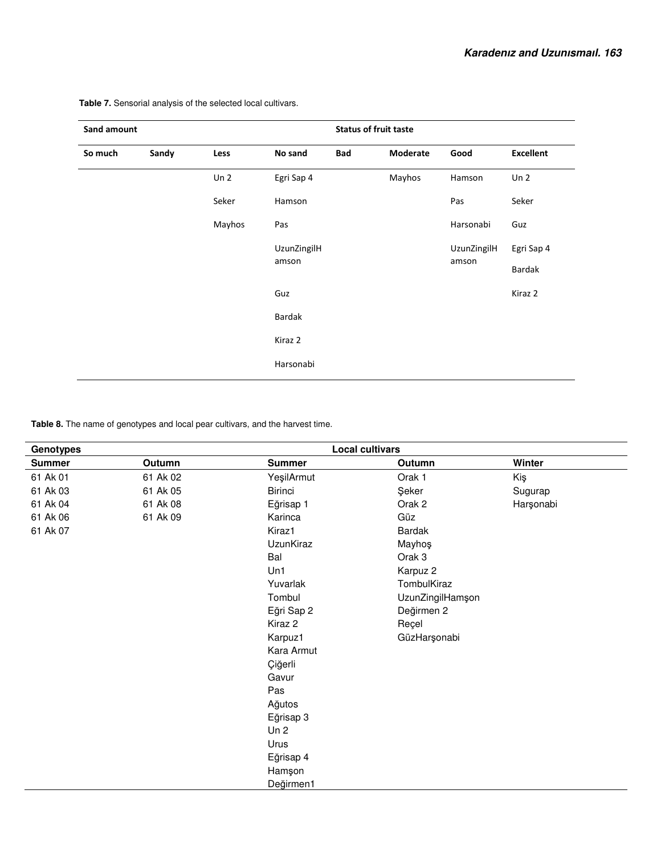| Sand amount | <b>Status of fruit taste</b> |                 |             |     |          |             |                  |
|-------------|------------------------------|-----------------|-------------|-----|----------|-------------|------------------|
| So much     | Sandy                        | Less            | No sand     | Bad | Moderate | Good        | <b>Excellent</b> |
|             |                              | Un <sub>2</sub> | Egri Sap 4  |     | Mayhos   | Hamson      | Un <sub>2</sub>  |
|             |                              | Seker           | Hamson      |     |          | Pas         | Seker            |
|             |                              | Mayhos          | Pas         |     |          | Harsonabi   | Guz              |
|             |                              |                 | UzunZingilH |     |          | UzunZingilH | Egri Sap 4       |
|             |                              |                 | amson       |     |          | amson       | Bardak           |
|             |                              |                 | Guz         |     |          |             | Kiraz 2          |
|             |                              |                 | Bardak      |     |          |             |                  |
|             |                              |                 | Kiraz 2     |     |          |             |                  |
|             |                              |                 | Harsonabi   |     |          |             |                  |
|             |                              |                 |             |     |          |             |                  |

 **Table 7.** Sensorial analysis of the selected local cultivars.

**Table 8.** The name of genotypes and local pear cultivars, and the harvest time.

| <b>Genotypes</b> |          |                 | <b>Local cultivars</b> |           |
|------------------|----------|-----------------|------------------------|-----------|
| <b>Summer</b>    | Outumn   | <b>Summer</b>   | Outumn                 | Winter    |
| 61 Ak 01         | 61 Ak 02 | YeşilArmut      | Orak 1                 | Kiş       |
| 61 Ak 03         | 61 Ak 05 | <b>Birinci</b>  | Şeker                  | Sugurap   |
| 61 Ak 04         | 61 Ak 08 | Eğrisap 1       | Orak 2                 | Harşonabi |
| 61 Ak 06         | 61 Ak 09 | Karinca         | Güz                    |           |
| 61 Ak 07         |          | Kiraz1          | <b>Bardak</b>          |           |
|                  |          | UzunKiraz       | Mayhoş                 |           |
|                  |          | Bal             | Orak 3                 |           |
|                  |          | Un1             | Karpuz 2               |           |
|                  |          | Yuvarlak        | TombulKiraz            |           |
|                  |          | Tombul          | UzunZingilHamşon       |           |
|                  |          | Eğri Sap 2      | Değirmen 2             |           |
|                  |          | Kiraz 2         | Reçel                  |           |
|                  |          | Karpuz1         | GüzHarşonabi           |           |
|                  |          | Kara Armut      |                        |           |
|                  |          | Çiğerli         |                        |           |
|                  |          | Gavur           |                        |           |
|                  |          | Pas             |                        |           |
|                  |          | Ağutos          |                        |           |
|                  |          | Eğrisap 3       |                        |           |
|                  |          | Un <sub>2</sub> |                        |           |
|                  |          | Urus            |                        |           |
|                  |          | Eğrisap 4       |                        |           |
|                  |          | Hamşon          |                        |           |
|                  |          | Değirmen1       |                        |           |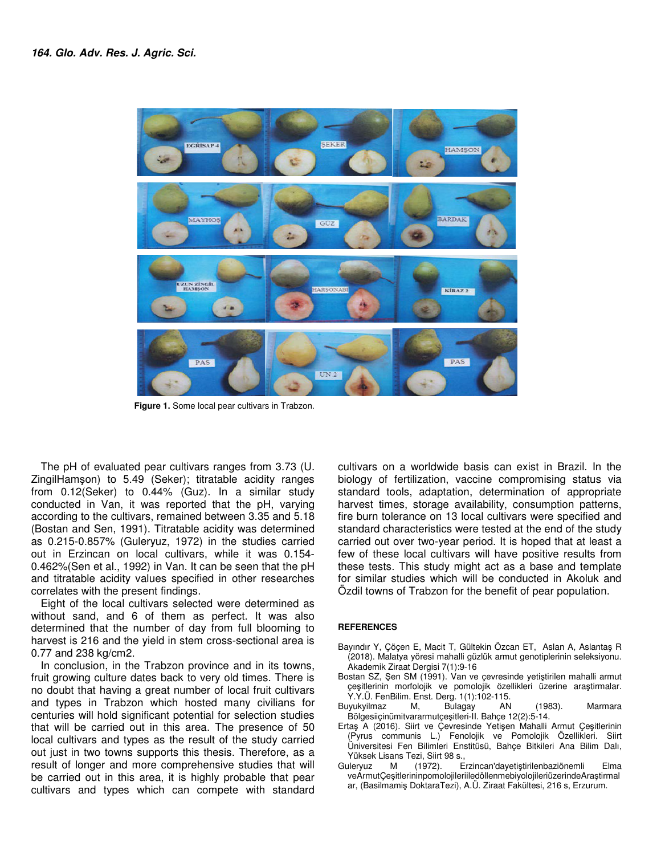

 **Figure 1.** Some local pear cultivars in Trabzon.

The pH of evaluated pear cultivars ranges from 3.73 (U. ZingilHamşon) to 5.49 (Seker); titratable acidity ranges from 0.12(Seker) to 0.44% (Guz). In a similar study conducted in Van, it was reported that the pH, varying according to the cultivars, remained between 3.35 and 5.18 (Bostan and Sen, 1991). Titratable acidity was determined as 0.215-0.857% (Guleryuz, 1972) in the studies carried out in Erzincan on local cultivars, while it was 0.154- 0.462%(Sen et al., 1992) in Van. It can be seen that the pH and titratable acidity values specified in other researches correlates with the present findings.

Eight of the local cultivars selected were determined as without sand, and 6 of them as perfect. It was also determined that the number of day from full blooming to harvest is 216 and the yield in stem cross-sectional area is 0.77 and 238 kg/cm2.

In conclusion, in the Trabzon province and in its towns, fruit growing culture dates back to very old times. There is no doubt that having a great number of local fruit cultivars and types in Trabzon which hosted many civilians for centuries will hold significant potential for selection studies that will be carried out in this area. The presence of 50 local cultivars and types as the result of the study carried out just in two towns supports this thesis. Therefore, as a result of longer and more comprehensive studies that will be carried out in this area, it is highly probable that pear cultivars and types which can compete with standard

cultivars on a worldwide basis can exist in Brazil. In the biology of fertilization, vaccine compromising status via standard tools, adaptation, determination of appropriate harvest times, storage availability, consumption patterns, fire burn tolerance on 13 local cultivars were specified and standard characteristics were tested at the end of the study carried out over two-year period. It is hoped that at least a few of these local cultivars will have positive results from these tests. This study might act as a base and template for similar studies which will be conducted in Akoluk and Özdil towns of Trabzon for the benefit of pear population.

#### **REFERENCES**

- Bayındır Y, Çöçen E, Macit T, Gültekin Özcan ET, Aslan A, Aslantaş R (2018). Malatya yöresi mahalli güzlük armut genotiplerinin seleksiyonu. Akademik Ziraat Dergisi 7(1):9-16
- Bostan SZ, Şen SM (1991). Van ve çevresinde yetiştirilen mahalli armut çeşitlerinin morfolojik ve pomolojik özellikleri üzerine araştirmalar. Y.Y.Ü. FenBilim. Enst. Derg. 1(1):102-115.
- Buyukyilmaz M, Bulagay AN (1983). Marmara Bölgesiiçinümitvararmutçeşitleri-II. Bahçe 12(2):5-14.
- Ertaş A (2016). Siirt ve Çevresinde Yetişen Mahalli Armut Çeşitlerinin (Pyrus communis L.) Fenolojik ve Pomolojik Özellikleri. Siirt Üniversitesi Fen Bilimleri Enstitüsü, Bahçe Bitkileri Ana Bilim Dalı, Yüksek Lisans Tezi, Siirt 98 s.,
- Guleryuz M (1972). Erzincan'dayetiştirilenbaziönemli Elma veArmutÇeşitlerininpomolojileriiledöllenmebiyolojileriüzerindeAraştirmal ar, (Basilmamiş DoktaraTezi), A.Ü. Ziraat Fakültesi, 216 s, Erzurum.